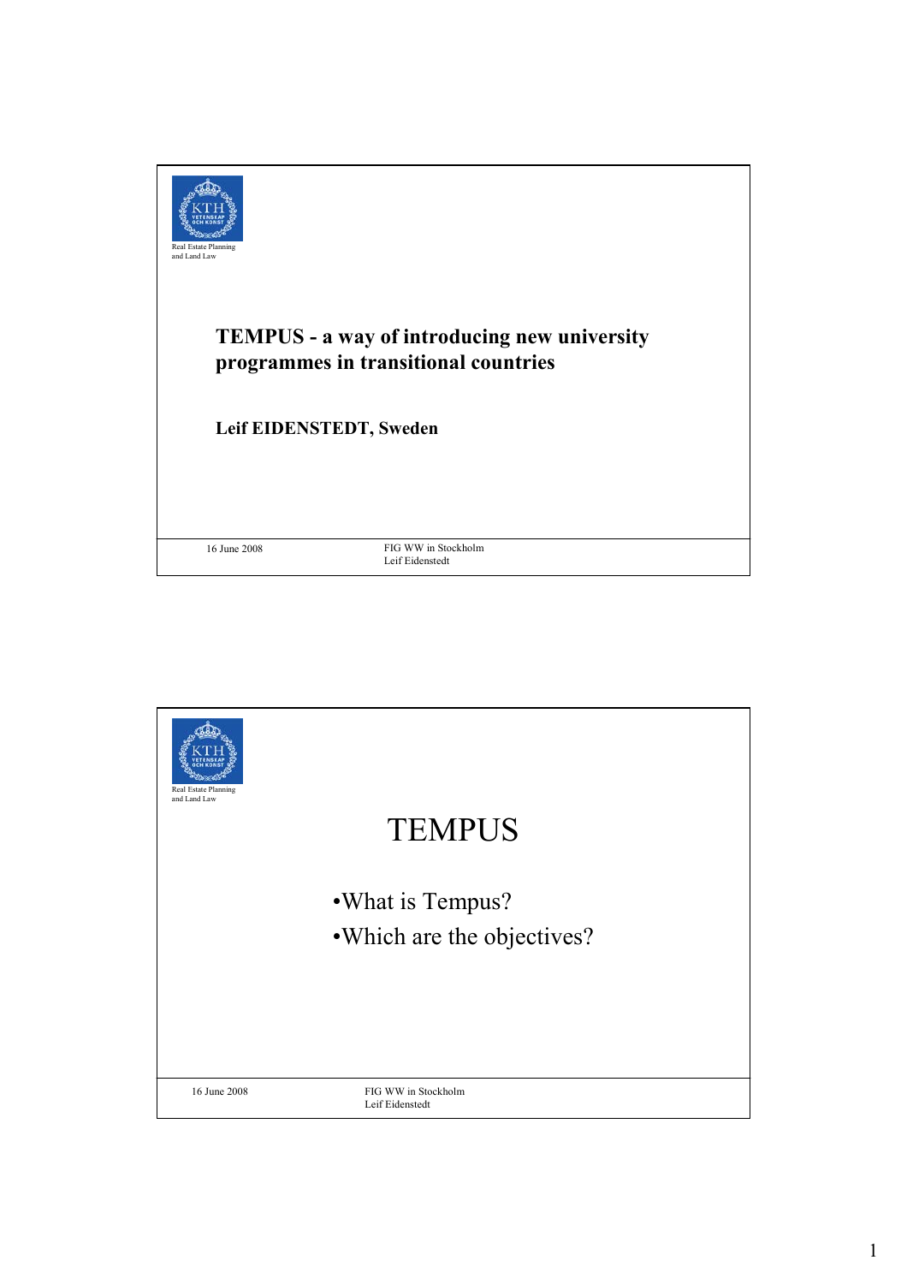

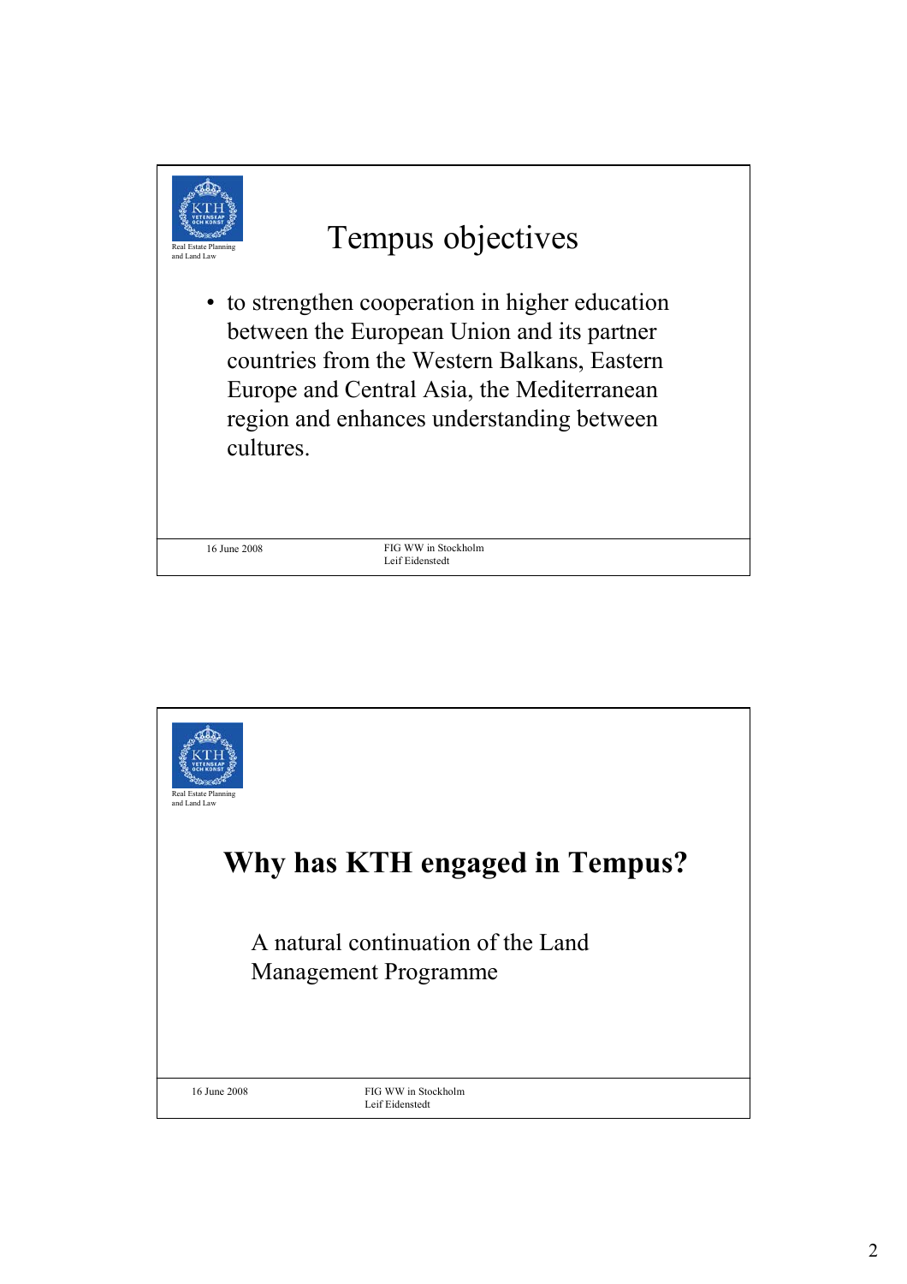

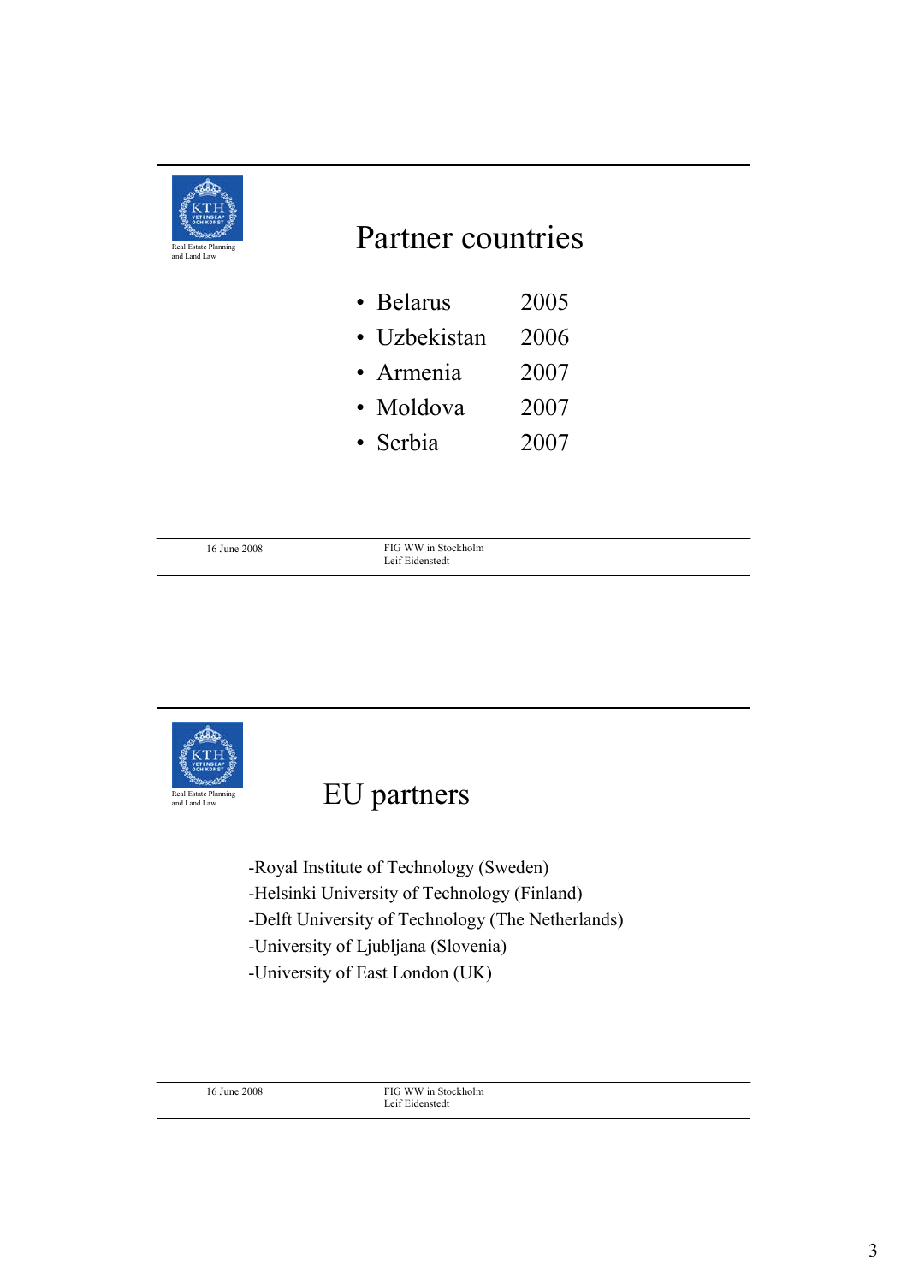| Real Estate Planning<br>and Land Law | Partner countries                      |      |
|--------------------------------------|----------------------------------------|------|
|                                      | • Belarus                              | 2005 |
|                                      | • Uzbekistan                           | 2006 |
|                                      | • Armenia                              | 2007 |
|                                      | · Moldova                              | 2007 |
|                                      | • Serbia                               | 2007 |
|                                      |                                        |      |
| 16 June 2008                         | FIG WW in Stockholm<br>Leif Eidenstedt |      |

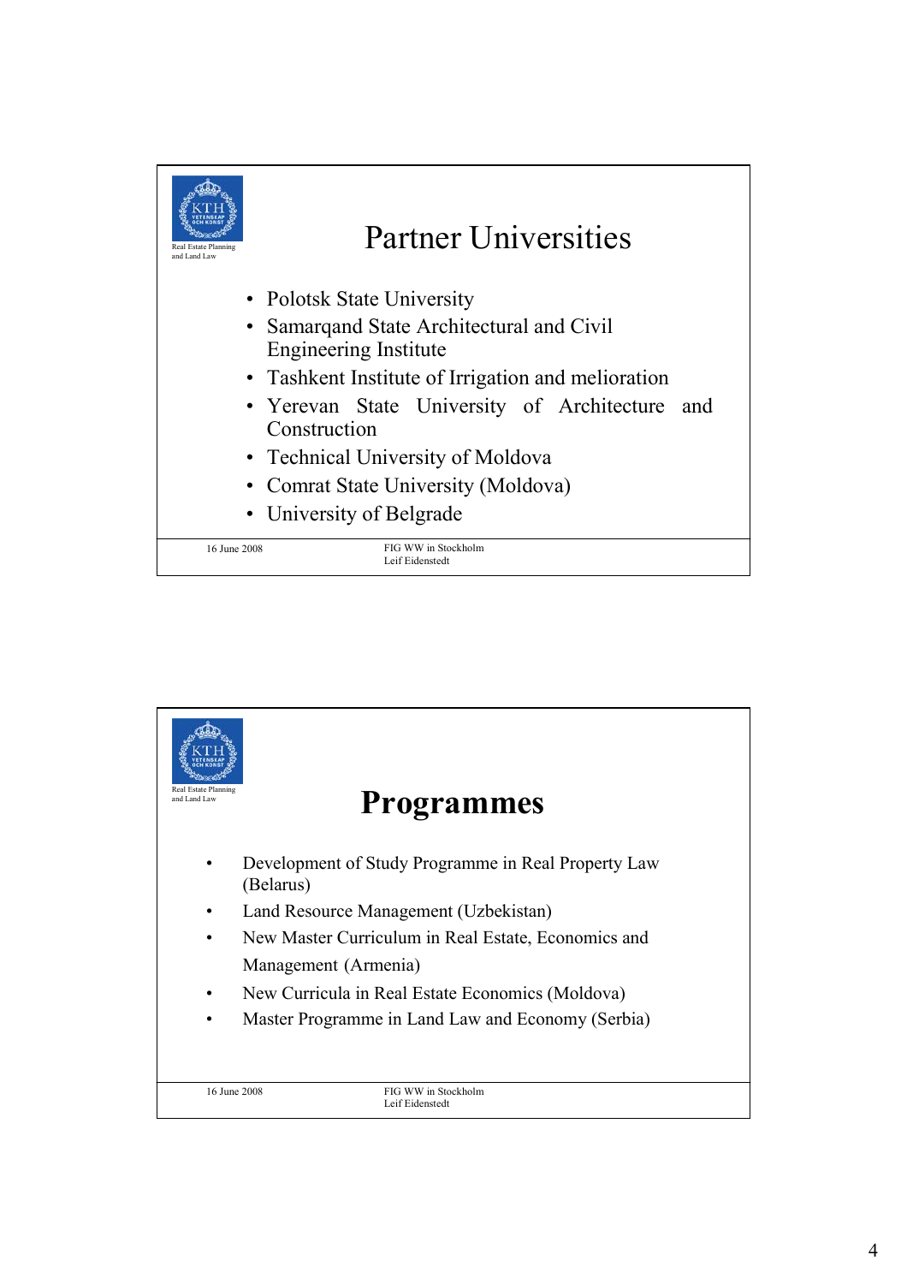

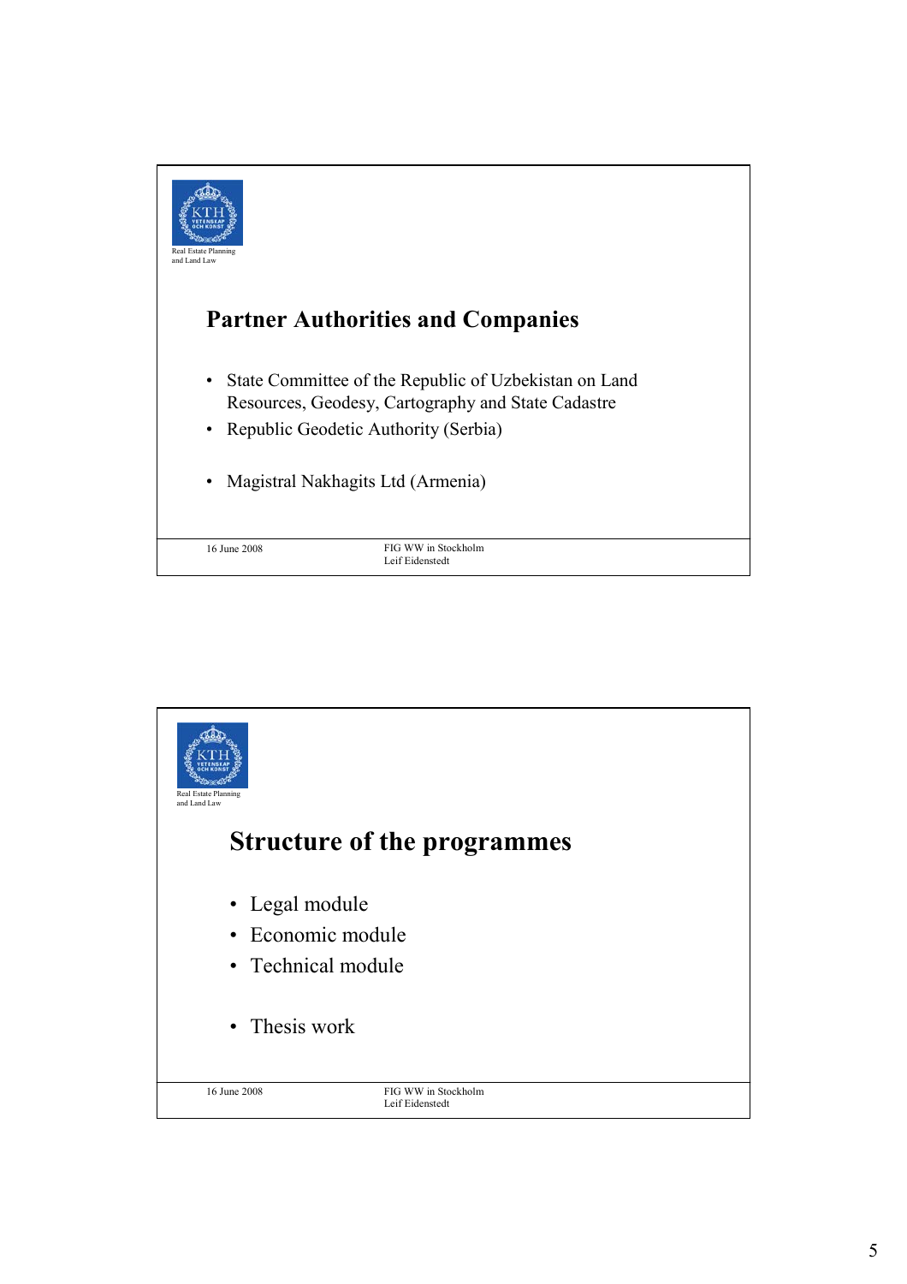

![](_page_4_Picture_1.jpeg)